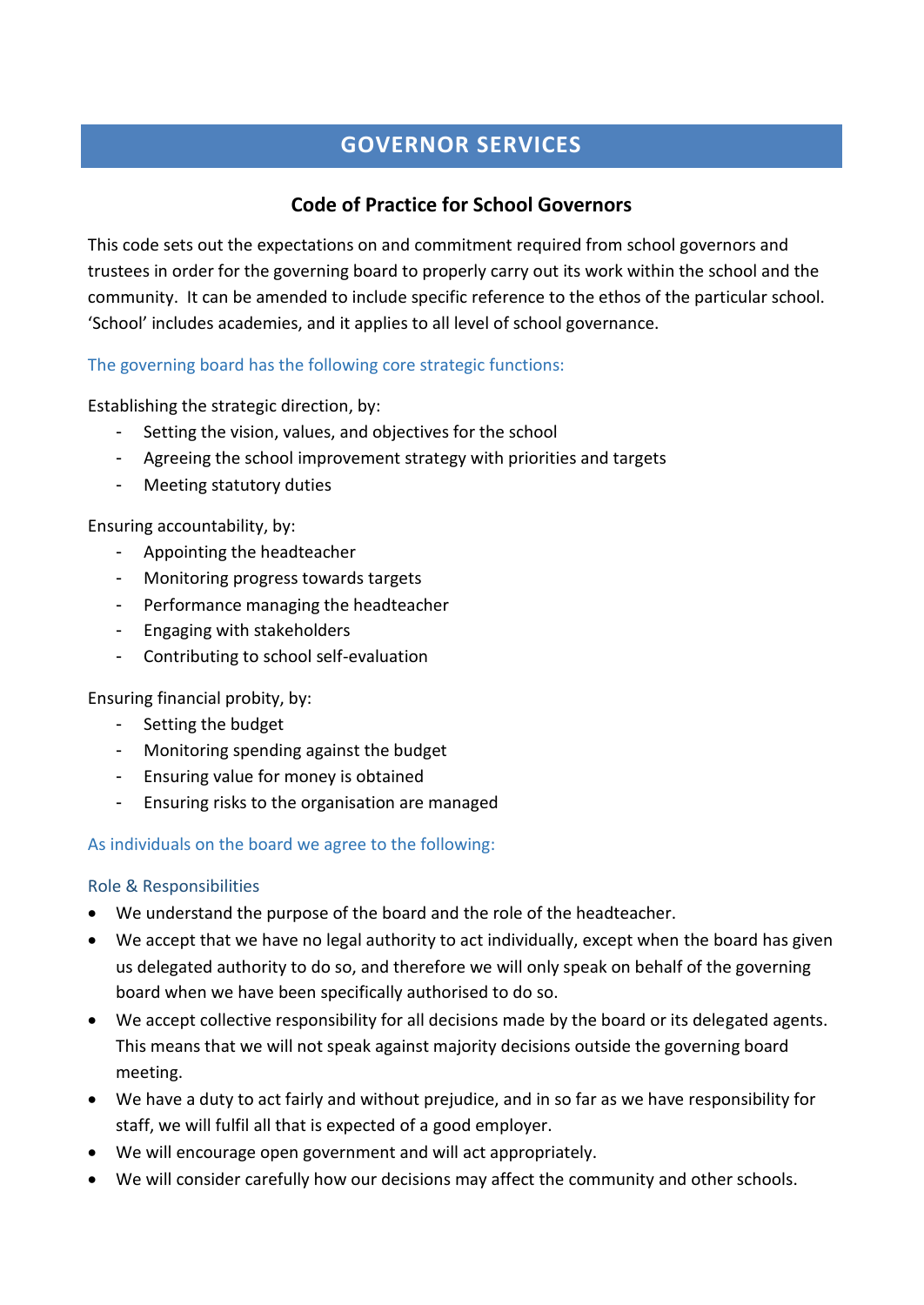# **GOVERNOR SERVICES**

## **Code of Practice for School Governors**

This code sets out the expectations on and commitment required from school governors and trustees in order for the governing board to properly carry out its work within the school and the community. It can be amended to include specific reference to the ethos of the particular school. 'School' includes academies, and it applies to all level of school governance.

## The governing board has the following core strategic functions:

Establishing the strategic direction, by:

- Setting the vision, values, and objectives for the school
- Agreeing the school improvement strategy with priorities and targets
- Meeting statutory duties

Ensuring accountability, by:

- Appointing the headteacher
- Monitoring progress towards targets
- Performance managing the headteacher
- Engaging with stakeholders
- Contributing to school self-evaluation

## Ensuring financial probity, by:

- Setting the budget
- Monitoring spending against the budget
- Ensuring value for money is obtained
- Ensuring risks to the organisation are managed

## As individuals on the board we agree to the following:

## Role & Responsibilities

- We understand the purpose of the board and the role of the headteacher.
- We accept that we have no legal authority to act individually, except when the board has given us delegated authority to do so, and therefore we will only speak on behalf of the governing board when we have been specifically authorised to do so.
- We accept collective responsibility for all decisions made by the board or its delegated agents. This means that we will not speak against majority decisions outside the governing board meeting.
- We have a duty to act fairly and without prejudice, and in so far as we have responsibility for staff, we will fulfil all that is expected of a good employer.
- We will encourage open government and will act appropriately.
- We will consider carefully how our decisions may affect the community and other schools.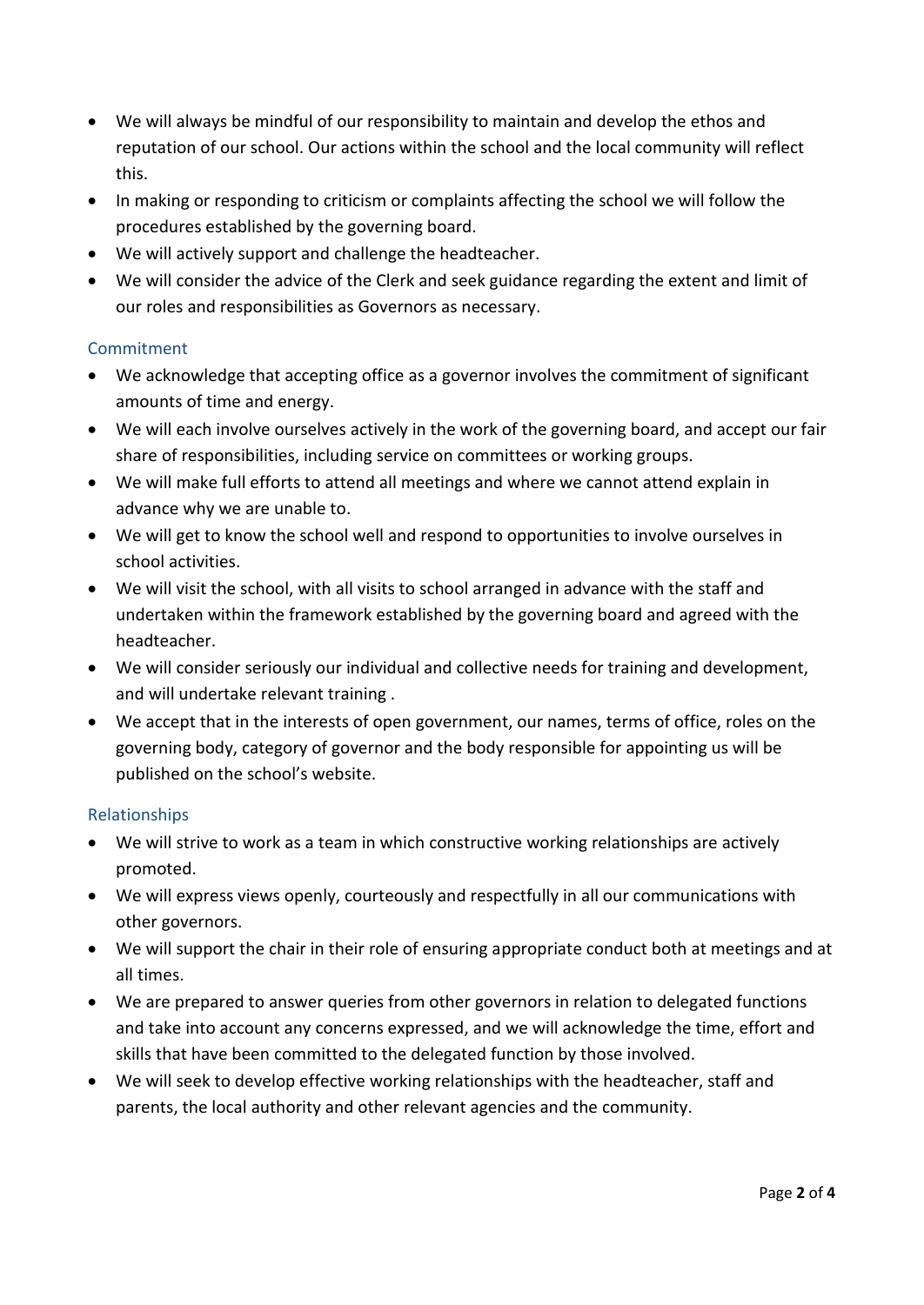- We will always be mindful of our responsibility to maintain and develop the ethos and reputation of our school. Our actions within the school and the local community will reflect this.
- In making or responding to criticism or complaints affecting the school we will follow the procedures established by the governing board.
- We will actively support and challenge the headteacher.
- We will consider the advice of the Clerk and seek guidance regarding the extent and limit of our roles and responsibilities as Governors as necessary.

## **Commitment**

- We acknowledge that accepting office as a governor involves the commitment of significant amounts of time and energy.
- We will each involve ourselves actively in the work of the governing board, and accept our fair share of responsibilities, including service on committees or working groups.
- We will make full efforts to attend all meetings and where we cannot attend explain in advance why we are unable to.
- We will get to know the school well and respond to opportunities to involve ourselves in school activities.
- We will visit the school, with all visits to school arranged in advance with the staff and undertaken within the framework established by the governing board and agreed with the headteacher.
- We will consider seriously our individual and collective needs for training and development, and will undertake relevant training .
- We accept that in the interests of open government, our names, terms of office, roles on the governing body, category of governor and the body responsible for appointing us will be published on the school's website.

#### Relationships

- We will strive to work as a team in which constructive working relationships are actively promoted.
- We will express views openly, courteously and respectfully in all our communications with other governors.
- We will support the chair in their role of ensuring appropriate conduct both at meetings and at all times.
- We are prepared to answer queries from other governors in relation to delegated functions and take into account any concerns expressed, and we will acknowledge the time, effort and skills that have been committed to the delegated function by those involved.
- We will seek to develop effective working relationships with the headteacher, staff and parents, the local authority and other relevant agencies and the community.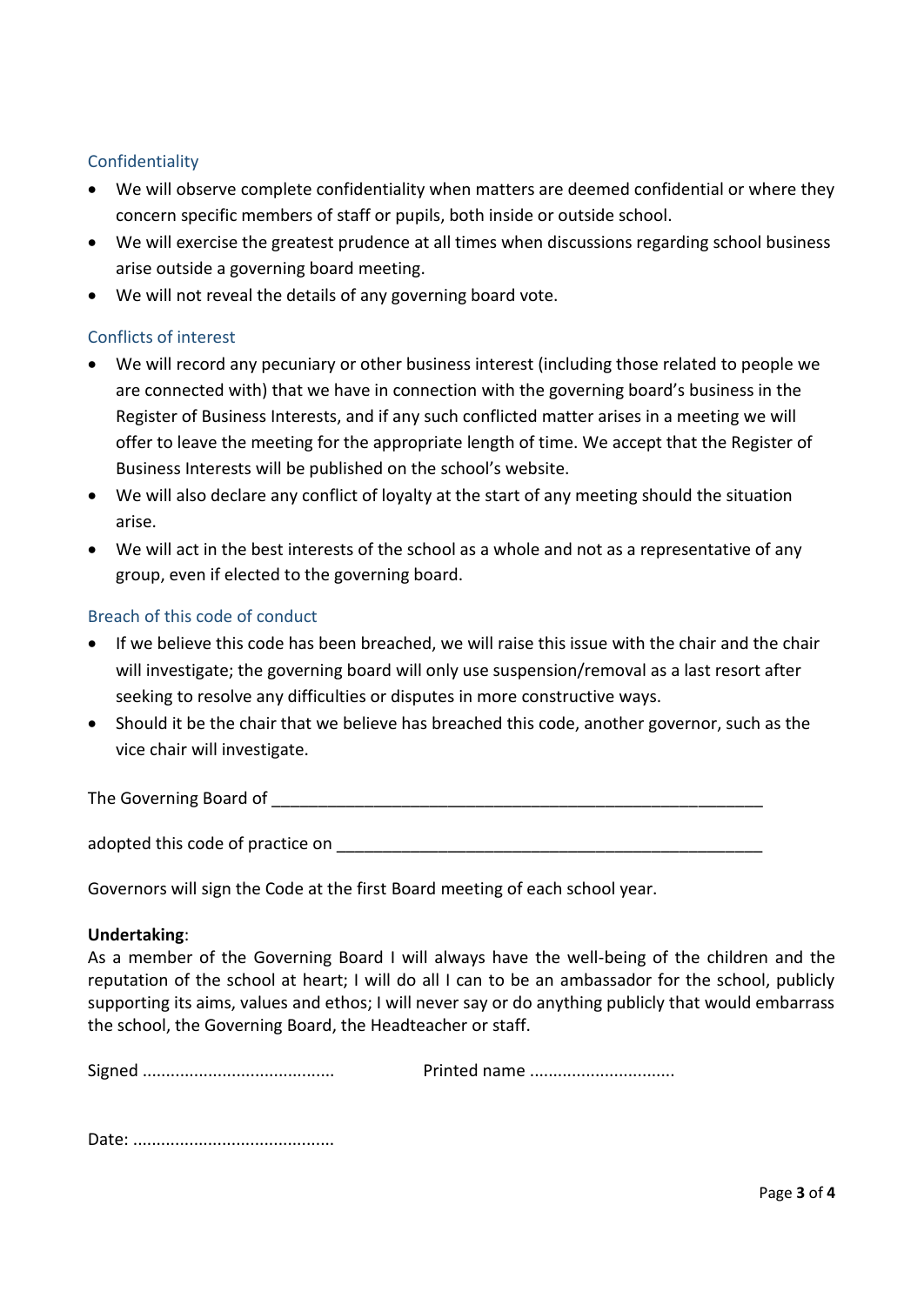### Confidentiality

- We will observe complete confidentiality when matters are deemed confidential or where they concern specific members of staff or pupils, both inside or outside school.
- We will exercise the greatest prudence at all times when discussions regarding school business arise outside a governing board meeting.
- We will not reveal the details of any governing board vote.

## Conflicts of interest

- We will record any pecuniary or other business interest (including those related to people we are connected with) that we have in connection with the governing board's business in the Register of Business Interests, and if any such conflicted matter arises in a meeting we will offer to leave the meeting for the appropriate length of time. We accept that the Register of Business Interests will be published on the school's website.
- We will also declare any conflict of loyalty at the start of any meeting should the situation arise.
- We will act in the best interests of the school as a whole and not as a representative of any group, even if elected to the governing board.

#### Breach of this code of conduct

- If we believe this code has been breached, we will raise this issue with the chair and the chair will investigate; the governing board will only use suspension/removal as a last resort after seeking to resolve any difficulties or disputes in more constructive ways.
- Should it be the chair that we believe has breached this code, another governor, such as the vice chair will investigate.

The Governing Board of **Example 20** and  $\sigma$ 

adopted this code of practice on **EXALLACCC 10** 

Governors will sign the Code at the first Board meeting of each school year.

#### **Undertaking**:

As a member of the Governing Board I will always have the well-being of the children and the reputation of the school at heart; I will do all I can to be an ambassador for the school, publicly supporting its aims, values and ethos; I will never say or do anything publicly that would embarrass the school, the Governing Board, the Headteacher or staff.

Signed ......................................... Printed name ...............................

Date: ...........................................